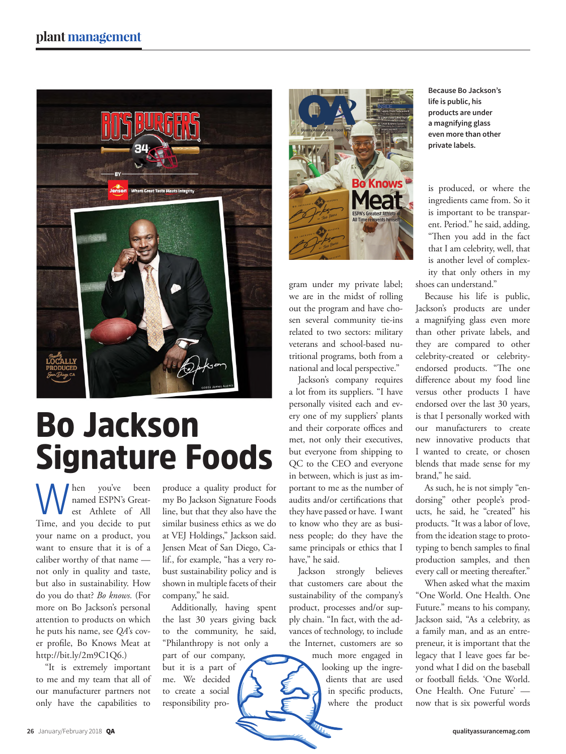

## Bo Jackson Signature Foods

When you've been<br>
named ESPN's Great-<br>
est Athlete of All named ESPN's Great-Time, and you decide to put your name on a product, you want to ensure that it is of a caliber worthy of that name not only in quality and taste, but also in sustainability. How do you do that? *Bo knows.* (For more on Bo Jackson's personal attention to products on which he puts his name, see *QA*'s cover profile, Bo Knows Meat at http://bit.ly/2m9C1Q6.)

"It is extremely important to me and my team that all of our manufacturer partners not only have the capabilities to

produce a quality product for my Bo Jackson Signature Foods line, but that they also have the similar business ethics as we do at VEJ Holdings," Jackson said. Jensen Meat of San Diego, Calif., for example, "has a very robust sustainability policy and is shown in multiple facets of their company," he said.

Additionally, having spent the last 30 years giving back to the community, he said, "Philanthropy is not only a

part of our company, but it is a part of me. We decided to create a social responsibility pro-



gram under my private label; we are in the midst of rolling out the program and have chosen several community tie-ins related to two sectors: military veterans and school-based nutritional programs, both from a national and local perspective."

Jackson's company requires a lot from its suppliers. "I have personally visited each and every one of my suppliers' plants and their corporate offices and met, not only their executives, but everyone from shipping to QC to the CEO and everyone in between, which is just as important to me as the number of audits and/or certifications that they have passed or have. I want to know who they are as business people; do they have the same principals or ethics that I have," he said.

Jackson strongly believes that customers care about the sustainability of the company's product, processes and/or supply chain. "In fact, with the advances of technology, to include the Internet, customers are so

> much more engaged in looking up the ingredients that are used in specific products, where the product

**Because Bo Jackson's life is public, his products are under a magnifying glass even more than other private labels.**

is produced, or where the ingredients came from. So it is important to be transparent. Period." he said, adding, "Then you add in the fact that I am celebrity, well, that is another level of complexity that only others in my shoes can understand."

Because his life is public, Jackson's products are under a magnifying glass even more than other private labels, and they are compared to other celebrity-created or celebrityendorsed products. "The one difference about my food line versus other products I have endorsed over the last 30 years, is that I personally worked with our manufacturers to create new innovative products that I wanted to create, or chosen blends that made sense for my brand," he said.

As such, he is not simply "endorsing" other people's products, he said, he "created" his products. "It was a labor of love, from the ideation stage to prototyping to bench samples to final production samples, and then every call or meeting thereafter."

When asked what the maxim "One World. One Health. One Future." means to his company, Jackson said, "As a celebrity, as a family man, and as an entrepreneur, it is important that the legacy that I leave goes far beyond what I did on the baseball or football fields. 'One World. One Health. One Future' now that is six powerful words